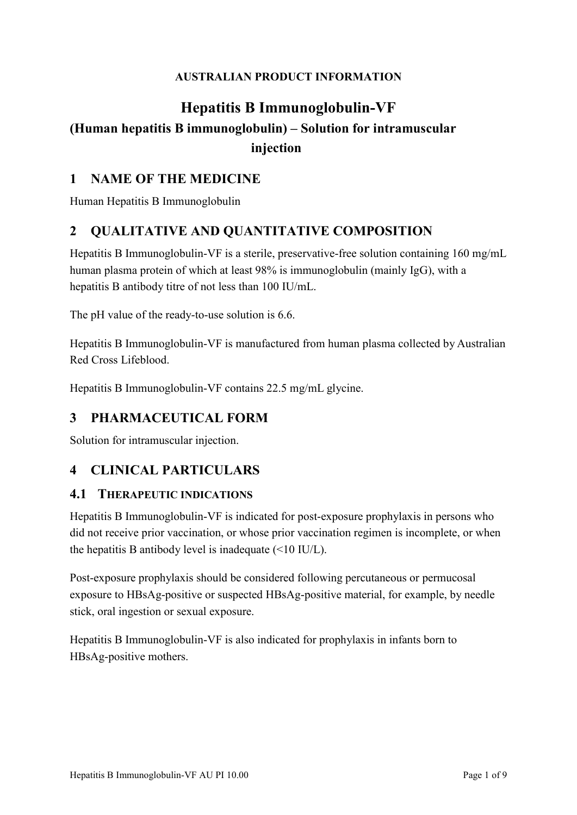#### **AUSTRALIAN PRODUCT INFORMATION**

# **Hepatitis B Immunoglobulin-VF (Human hepatitis B immunoglobulin) – Solution for intramuscular injection**

### **1 NAME OF THE MEDICINE**

Human Hepatitis B Immunoglobulin

## **2 QUALITATIVE AND QUANTITATIVE COMPOSITION**

Hepatitis B Immunoglobulin-VF is a sterile, preservative-free solution containing 160 mg/mL human plasma protein of which at least 98% is immunoglobulin (mainly IgG), with a hepatitis B antibody titre of not less than 100 IU/mL.

The pH value of the ready-to-use solution is 6.6.

Hepatitis B Immunoglobulin-VF is manufactured from human plasma collected by Australian Red Cross Lifeblood.

Hepatitis B Immunoglobulin-VF contains 22.5 mg/mL glycine.

### **3 PHARMACEUTICAL FORM**

Solution for intramuscular injection.

### **4 CLINICAL PARTICULARS**

#### **4.1 THERAPEUTIC INDICATIONS**

Hepatitis B Immunoglobulin-VF is indicated for post-exposure prophylaxis in persons who did not receive prior vaccination, or whose prior vaccination regimen is incomplete, or when the hepatitis B antibody level is inadequate (<10 IU/L).

Post-exposure prophylaxis should be considered following percutaneous or permucosal exposure to HBsAg-positive or suspected HBsAg-positive material, for example, by needle stick, oral ingestion or sexual exposure.

Hepatitis B Immunoglobulin-VF is also indicated for prophylaxis in infants born to HBsAg-positive mothers.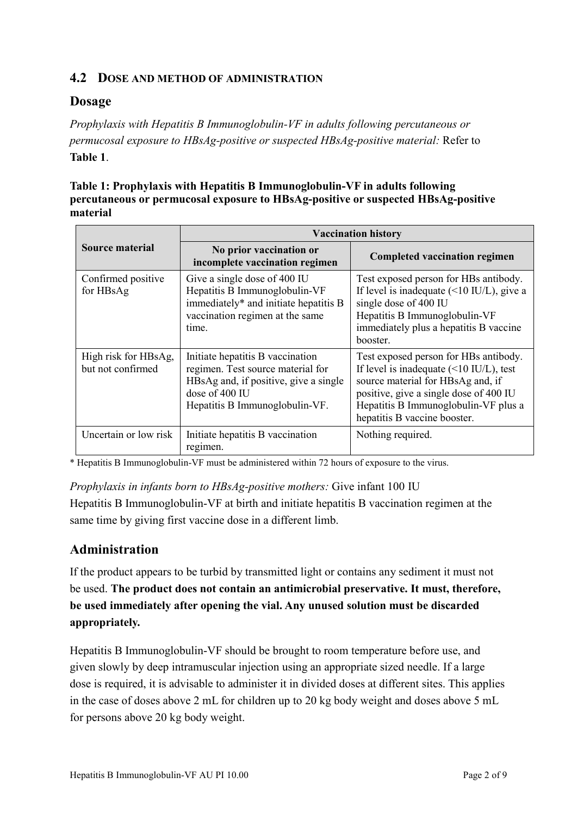#### **4.2 DOSE AND METHOD OF ADMINISTRATION**

### **Dosage**

*Prophylaxis with Hepatitis B Immunoglobulin-VF in adults following percutaneous or permucosal exposure to HBsAg-positive or suspected HBsAg-positive material:* Refer to **Table 1**.

#### **Table 1: Prophylaxis with Hepatitis B Immunoglobulin-VF in adults following percutaneous or permucosal exposure to HBsAg-positive or suspected HBsAg-positive material**

|                                           | <b>Vaccination history</b>                                                                                                                                         |                                                                                                                                                                                                                                                        |
|-------------------------------------------|--------------------------------------------------------------------------------------------------------------------------------------------------------------------|--------------------------------------------------------------------------------------------------------------------------------------------------------------------------------------------------------------------------------------------------------|
| Source material                           | No prior vaccination or<br>incomplete vaccination regimen                                                                                                          | <b>Completed vaccination regimen</b>                                                                                                                                                                                                                   |
| Confirmed positive<br>for HBsAg           | Give a single dose of 400 IU<br>Hepatitis B Immunoglobulin-VF<br>immediately* and initiate hepatitis B<br>vaccination regimen at the same<br>time.                 | Test exposed person for HBs antibody.<br>If level is inadequate $(\leq 10 \text{ IU/L})$ , give a<br>single dose of 400 IU<br>Hepatitis B Immunoglobulin-VF<br>immediately plus a hepatitis B vaccine<br>booster.                                      |
| High risk for HBsAg,<br>but not confirmed | Initiate hepatitis B vaccination<br>regimen. Test source material for<br>HBsAg and, if positive, give a single<br>dose of 400 IU<br>Hepatitis B Immunoglobulin-VF. | Test exposed person for HBs antibody.<br>If level is inadequate $(\leq 10 \text{ IU/L})$ , test<br>source material for HBsAg and, if<br>positive, give a single dose of 400 IU<br>Hepatitis B Immunoglobulin-VF plus a<br>hepatitis B vaccine booster. |
| Uncertain or low risk                     | Initiate hepatitis B vaccination<br>regimen.                                                                                                                       | Nothing required.                                                                                                                                                                                                                                      |

\* Hepatitis B Immunoglobulin-VF must be administered within 72 hours of exposure to the virus.

*Prophylaxis in infants born to HBsAg-positive mothers:* Give infant 100 IU

Hepatitis B Immunoglobulin-VF at birth and initiate hepatitis B vaccination regimen at the same time by giving first vaccine dose in a different limb.

### **Administration**

If the product appears to be turbid by transmitted light or contains any sediment it must not be used. **The product does not contain an antimicrobial preservative. It must, therefore, be used immediately after opening the vial. Any unused solution must be discarded appropriately.**

Hepatitis B Immunoglobulin-VF should be brought to room temperature before use, and given slowly by deep intramuscular injection using an appropriate sized needle. If a large dose is required, it is advisable to administer it in divided doses at different sites. This applies in the case of doses above 2 mL for children up to 20 kg body weight and doses above 5 mL for persons above 20 kg body weight.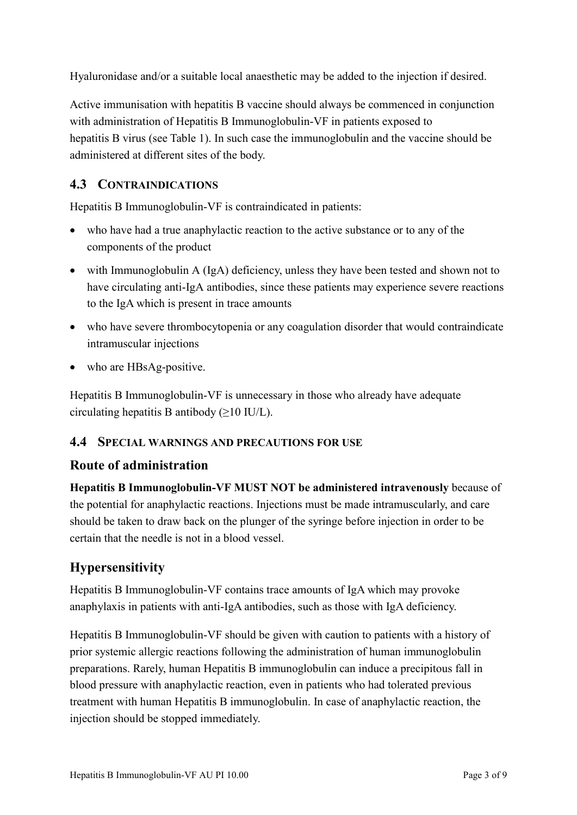Hyaluronidase and/or a suitable local anaesthetic may be added to the injection if desired.

Active immunisation with hepatitis B vaccine should always be commenced in conjunction with administration of Hepatitis B Immunoglobulin-VF in patients exposed to hepatitis B virus (see Table 1). In such case the immunoglobulin and the vaccine should be administered at different sites of the body.

## **4.3 CONTRAINDICATIONS**

Hepatitis B Immunoglobulin-VF is contraindicated in patients:

- who have had a true anaphylactic reaction to the active substance or to any of the components of the product
- with Immunoglobulin A (IgA) deficiency, unless they have been tested and shown not to have circulating anti-IgA antibodies, since these patients may experience severe reactions to the IgA which is present in trace amounts
- who have severe thrombocytopenia or any coagulation disorder that would contraindicate intramuscular injections
- who are HBsAg-positive.

Hepatitis B Immunoglobulin-VF is unnecessary in those who already have adequate circulating hepatitis B antibody  $(\geq 10 \text{ IU/L})$ .

### **4.4 SPECIAL WARNINGS AND PRECAUTIONS FOR USE**

### **Route of administration**

**Hepatitis B Immunoglobulin-VF MUST NOT be administered intravenously** because of the potential for anaphylactic reactions. Injections must be made intramuscularly, and care should be taken to draw back on the plunger of the syringe before injection in order to be certain that the needle is not in a blood vessel.

# **Hypersensitivity**

Hepatitis B Immunoglobulin-VF contains trace amounts of IgA which may provoke anaphylaxis in patients with anti-IgA antibodies, such as those with IgA deficiency.

Hepatitis B Immunoglobulin-VF should be given with caution to patients with a history of prior systemic allergic reactions following the administration of human immunoglobulin preparations. Rarely, human Hepatitis B immunoglobulin can induce a precipitous fall in blood pressure with anaphylactic reaction, even in patients who had tolerated previous treatment with human Hepatitis B immunoglobulin. In case of anaphylactic reaction, the injection should be stopped immediately.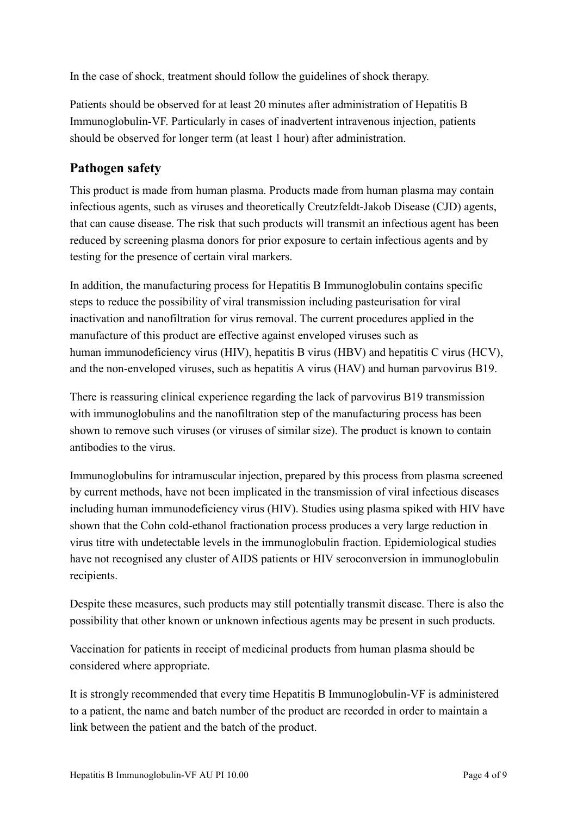In the case of shock, treatment should follow the guidelines of shock therapy.

Patients should be observed for at least 20 minutes after administration of Hepatitis B Immunoglobulin-VF. Particularly in cases of inadvertent intravenous injection, patients should be observed for longer term (at least 1 hour) after administration.

## **Pathogen safety**

This product is made from human plasma. Products made from human plasma may contain infectious agents, such as viruses and theoretically Creutzfeldt-Jakob Disease (CJD) agents, that can cause disease. The risk that such products will transmit an infectious agent has been reduced by screening plasma donors for prior exposure to certain infectious agents and by testing for the presence of certain viral markers.

In addition, the manufacturing process for Hepatitis B Immunoglobulin contains specific steps to reduce the possibility of viral transmission including pasteurisation for viral inactivation and nanofiltration for virus removal. The current procedures applied in the manufacture of this product are effective against enveloped viruses such as human immunodeficiency virus (HIV), hepatitis B virus (HBV) and hepatitis C virus (HCV), and the non-enveloped viruses, such as hepatitis A virus (HAV) and human parvovirus B19.

There is reassuring clinical experience regarding the lack of parvovirus B19 transmission with immunoglobulins and the nanofiltration step of the manufacturing process has been shown to remove such viruses (or viruses of similar size). The product is known to contain antibodies to the virus.

Immunoglobulins for intramuscular injection, prepared by this process from plasma screened by current methods, have not been implicated in the transmission of viral infectious diseases including human immunodeficiency virus (HIV). Studies using plasma spiked with HIV have shown that the Cohn cold-ethanol fractionation process produces a very large reduction in virus titre with undetectable levels in the immunoglobulin fraction. Epidemiological studies have not recognised any cluster of AIDS patients or HIV seroconversion in immunoglobulin recipients.

Despite these measures, such products may still potentially transmit disease. There is also the possibility that other known or unknown infectious agents may be present in such products.

Vaccination for patients in receipt of medicinal products from human plasma should be considered where appropriate.

It is strongly recommended that every time Hepatitis B Immunoglobulin-VF is administered to a patient, the name and batch number of the product are recorded in order to maintain a link between the patient and the batch of the product.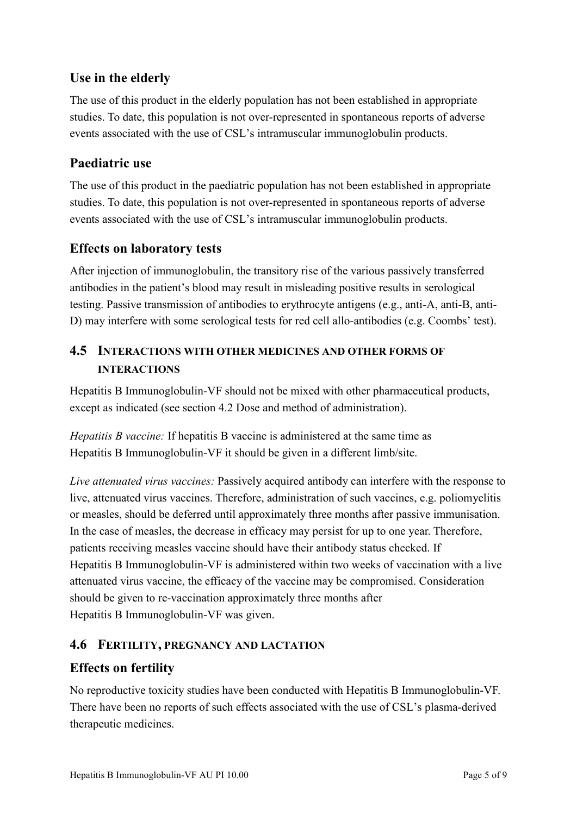## **Use in the elderly**

The use of this product in the elderly population has not been established in appropriate studies. To date, this population is not over-represented in spontaneous reports of adverse events associated with the use of CSL's intramuscular immunoglobulin products.

### **Paediatric use**

The use of this product in the paediatric population has not been established in appropriate studies. To date, this population is not over-represented in spontaneous reports of adverse events associated with the use of CSL's intramuscular immunoglobulin products.

### **Effects on laboratory tests**

After injection of immunoglobulin, the transitory rise of the various passively transferred antibodies in the patient's blood may result in misleading positive results in serological testing. Passive transmission of antibodies to erythrocyte antigens (e.g., anti-A, anti-B, anti-D) may interfere with some serological tests for red cell allo-antibodies (e.g. Coombs' test).

## **4.5 INTERACTIONS WITH OTHER MEDICINES AND OTHER FORMS OF INTERACTIONS**

Hepatitis B Immunoglobulin-VF should not be mixed with other pharmaceutical products, except as indicated (see section 4.2 Dose and method of administration).

*Hepatitis B vaccine:* If hepatitis B vaccine is administered at the same time as Hepatitis B Immunoglobulin-VF it should be given in a different limb/site.

*Live attenuated virus vaccines:* Passively acquired antibody can interfere with the response to live, attenuated virus vaccines. Therefore, administration of such vaccines, e.g. poliomyelitis or measles, should be deferred until approximately three months after passive immunisation. In the case of measles, the decrease in efficacy may persist for up to one year. Therefore, patients receiving measles vaccine should have their antibody status checked. If Hepatitis B Immunoglobulin-VF is administered within two weeks of vaccination with a live attenuated virus vaccine, the efficacy of the vaccine may be compromised. Consideration should be given to re-vaccination approximately three months after Hepatitis B Immunoglobulin-VF was given.

### **4.6 FERTILITY, PREGNANCY AND LACTATION**

### **Effects on fertility**

No reproductive toxicity studies have been conducted with Hepatitis B Immunoglobulin-VF. There have been no reports of such effects associated with the use of CSL's plasma-derived therapeutic medicines.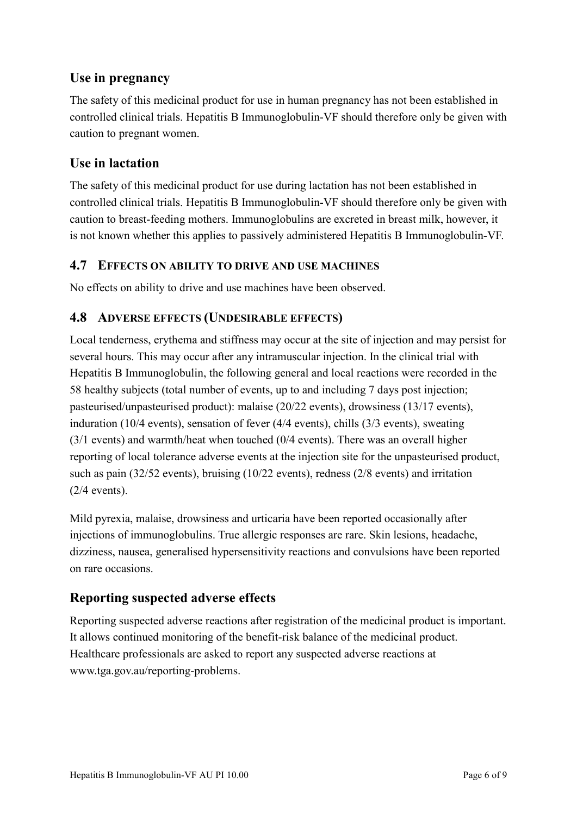## **Use in pregnancy**

The safety of this medicinal product for use in human pregnancy has not been established in controlled clinical trials. Hepatitis B Immunoglobulin-VF should therefore only be given with caution to pregnant women.

## **Use in lactation**

The safety of this medicinal product for use during lactation has not been established in controlled clinical trials. Hepatitis B Immunoglobulin-VF should therefore only be given with caution to breast-feeding mothers. Immunoglobulins are excreted in breast milk, however, it is not known whether this applies to passively administered Hepatitis B Immunoglobulin-VF.

#### **4.7 EFFECTS ON ABILITY TO DRIVE AND USE MACHINES**

No effects on ability to drive and use machines have been observed.

### **4.8 ADVERSE EFFECTS (UNDESIRABLE EFFECTS)**

Local tenderness, erythema and stiffness may occur at the site of injection and may persist for several hours. This may occur after any intramuscular injection. In the clinical trial with Hepatitis B Immunoglobulin, the following general and local reactions were recorded in the 58 healthy subjects (total number of events, up to and including 7 days post injection; pasteurised/unpasteurised product): malaise (20/22 events), drowsiness (13/17 events), induration (10/4 events), sensation of fever (4/4 events), chills (3/3 events), sweating (3/1 events) and warmth/heat when touched (0/4 events). There was an overall higher reporting of local tolerance adverse events at the injection site for the unpasteurised product, such as pain (32/52 events), bruising (10/22 events), redness (2/8 events) and irritation (2/4 events).

Mild pyrexia, malaise, drowsiness and urticaria have been reported occasionally after injections of immunoglobulins. True allergic responses are rare. Skin lesions, headache, dizziness, nausea, generalised hypersensitivity reactions and convulsions have been reported on rare occasions.

### **Reporting suspected adverse effects**

Reporting suspected adverse reactions after registration of the medicinal product is important. It allows continued monitoring of the benefit-risk balance of the medicinal product. Healthcare professionals are asked to report any suspected adverse reactions at www.tga.gov.au/reporting-problems.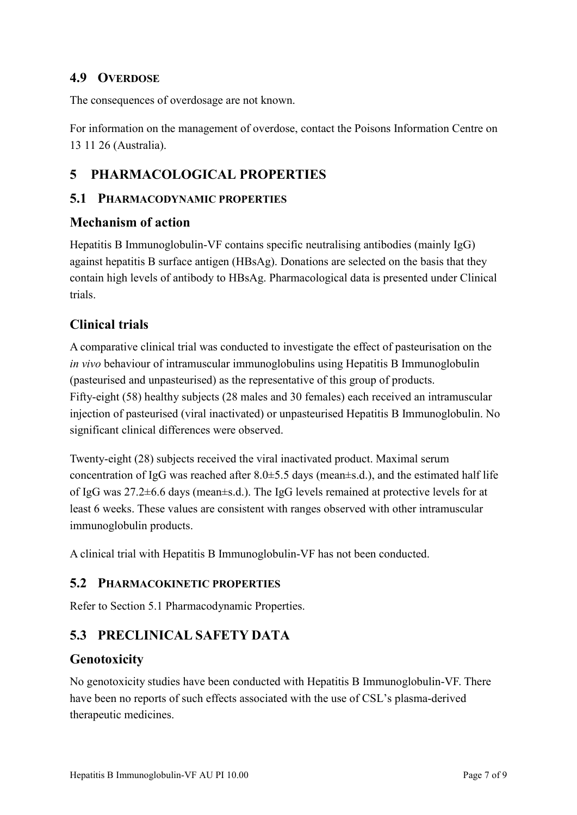### **4.9 OVERDOSE**

The consequences of overdosage are not known.

For information on the management of overdose, contact the Poisons Information Centre on 13 11 26 (Australia).

## **5 PHARMACOLOGICAL PROPERTIES**

### **5.1 PHARMACODYNAMIC PROPERTIES**

#### **Mechanism of action**

Hepatitis B Immunoglobulin-VF contains specific neutralising antibodies (mainly IgG) against hepatitis B surface antigen (HBsAg). Donations are selected on the basis that they contain high levels of antibody to HBsAg. Pharmacological data is presented under Clinical trials.

## **Clinical trials**

A comparative clinical trial was conducted to investigate the effect of pasteurisation on the *in vivo* behaviour of intramuscular immunoglobulins using Hepatitis B Immunoglobulin (pasteurised and unpasteurised) as the representative of this group of products. Fifty-eight (58) healthy subjects (28 males and 30 females) each received an intramuscular injection of pasteurised (viral inactivated) or unpasteurised Hepatitis B Immunoglobulin. No significant clinical differences were observed.

Twenty-eight (28) subjects received the viral inactivated product. Maximal serum concentration of IgG was reached after  $8.0 \pm 5.5$  days (mean $\pm$ s.d.), and the estimated half life of IgG was 27.2±6.6 days (mean±s.d.). The IgG levels remained at protective levels for at least 6 weeks. These values are consistent with ranges observed with other intramuscular immunoglobulin products.

A clinical trial with Hepatitis B Immunoglobulin-VF has not been conducted.

#### **5.2 PHARMACOKINETIC PROPERTIES**

Refer to Section 5.1 Pharmacodynamic Properties.

## **5.3 PRECLINICAL SAFETY DATA**

### **Genotoxicity**

No genotoxicity studies have been conducted with Hepatitis B Immunoglobulin-VF. There have been no reports of such effects associated with the use of CSL's plasma-derived therapeutic medicines.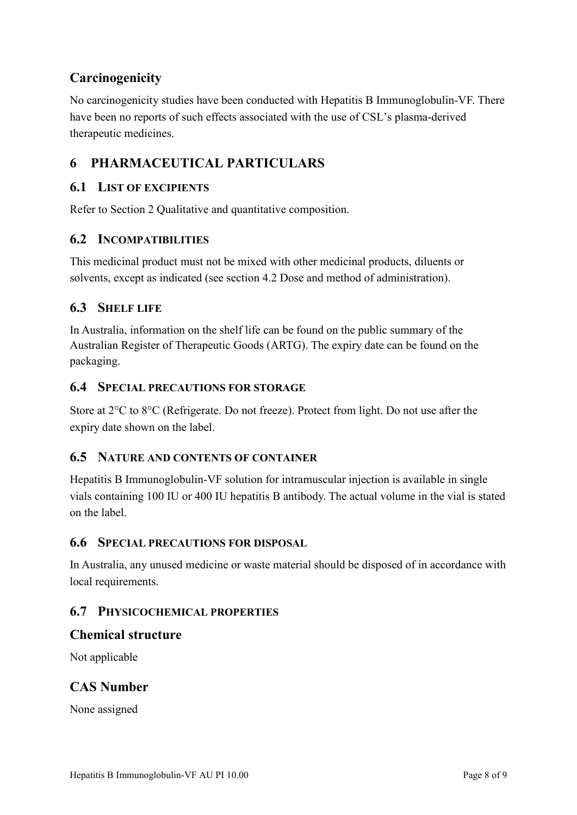## **Carcinogenicity**

No carcinogenicity studies have been conducted with Hepatitis B Immunoglobulin-VF. There have been no reports of such effects associated with the use of CSL's plasma-derived therapeutic medicines.

# **6 PHARMACEUTICAL PARTICULARS**

### **6.1 LIST OF EXCIPIENTS**

Refer to Section 2 Qualitative and quantitative composition.

#### **6.2 INCOMPATIBILITIES**

This medicinal product must not be mixed with other medicinal products, diluents or solvents, except as indicated (see section 4.2 Dose and method of administration).

### **6.3 SHELF LIFE**

In Australia, information on the shelf life can be found on the public summary of the Australian Register of Therapeutic Goods (ARTG). The expiry date can be found on the packaging.

#### **6.4 SPECIAL PRECAUTIONS FOR STORAGE**

Store at 2°C to 8°C (Refrigerate. Do not freeze). Protect from light. Do not use after the expiry date shown on the label.

#### **6.5 NATURE AND CONTENTS OF CONTAINER**

Hepatitis B Immunoglobulin-VF solution for intramuscular injection is available in single vials containing 100 IU or 400 IU hepatitis B antibody. The actual volume in the vial is stated on the label.

#### **6.6 SPECIAL PRECAUTIONS FOR DISPOSAL**

In Australia, any unused medicine or waste material should be disposed of in accordance with local requirements.

#### **6.7 PHYSICOCHEMICAL PROPERTIES**

#### **Chemical structure**

Not applicable

### **CAS Number**

None assigned